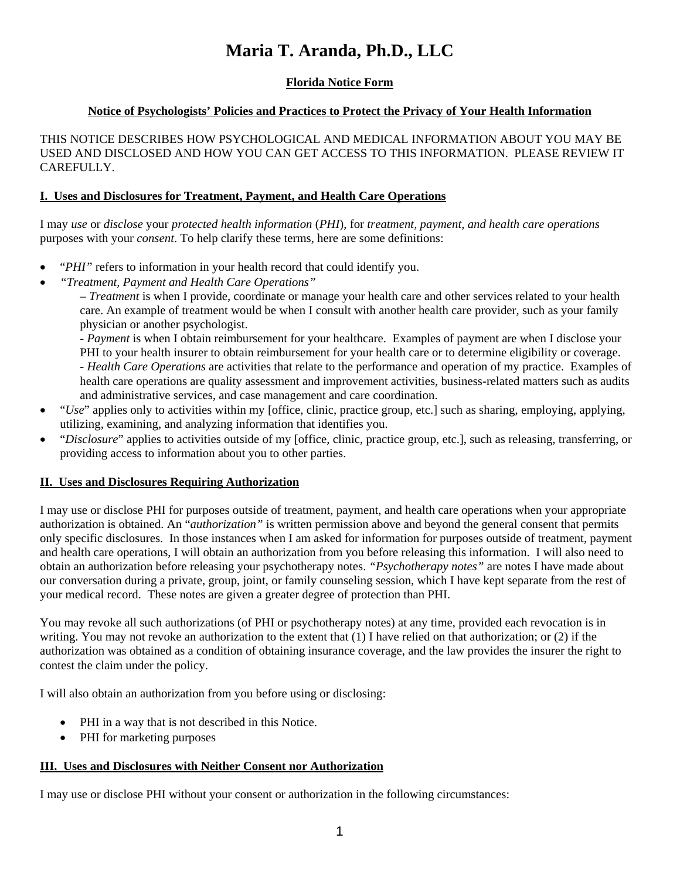# **Maria T. Aranda, Ph.D., LLC**

# **Florida Notice Form**

#### **Notice of Psychologists' Policies and Practices to Protect the Privacy of Your Health Information**

THIS NOTICE DESCRIBES HOW PSYCHOLOGICAL AND MEDICAL INFORMATION ABOUT YOU MAY BE USED AND DISCLOSED AND HOW YOU CAN GET ACCESS TO THIS INFORMATION. PLEASE REVIEW IT CAREFULLY.

## **I. Uses and Disclosures for Treatment, Payment, and Health Care Operations**

I may *use* or *disclose* your *protected health information* (*PHI*), for *treatment, payment, and health care operations*  purposes with your *consent*. To help clarify these terms, here are some definitions:

- "*PHI*" refers to information in your health record that could identify you.
- *"Treatment, Payment and Health Care Operations"*

– *Treatment* is when I provide, coordinate or manage your health care and other services related to your health care. An example of treatment would be when I consult with another health care provider, such as your family physician or another psychologist.

- *Payment* is when I obtain reimbursement for your healthcare. Examples of payment are when I disclose your PHI to your health insurer to obtain reimbursement for your health care or to determine eligibility or coverage. - *Health Care Operations* are activities that relate to the performance and operation of my practice. Examples of health care operations are quality assessment and improvement activities, business-related matters such as audits and administrative services, and case management and care coordination.

- "*Use*" applies only to activities within my [office, clinic, practice group, etc.] such as sharing, employing, applying, utilizing, examining, and analyzing information that identifies you.
- "*Disclosure*" applies to activities outside of my [office, clinic, practice group, etc.], such as releasing, transferring, or providing access to information about you to other parties.

#### **II. Uses and Disclosures Requiring Authorization**

I may use or disclose PHI for purposes outside of treatment, payment, and health care operations when your appropriate authorization is obtained. An "*authorization"* is written permission above and beyond the general consent that permits only specific disclosures. In those instances when I am asked for information for purposes outside of treatment, payment and health care operations, I will obtain an authorization from you before releasing this information. I will also need to obtain an authorization before releasing your psychotherapy notes. *"Psychotherapy notes"* are notes I have made about our conversation during a private, group, joint, or family counseling session, which I have kept separate from the rest of your medical record. These notes are given a greater degree of protection than PHI.

You may revoke all such authorizations (of PHI or psychotherapy notes) at any time, provided each revocation is in writing. You may not revoke an authorization to the extent that (1) I have relied on that authorization; or (2) if the authorization was obtained as a condition of obtaining insurance coverage, and the law provides the insurer the right to contest the claim under the policy.

I will also obtain an authorization from you before using or disclosing:

- PHI in a way that is not described in this Notice.
- PHI for marketing purposes

# **III. Uses and Disclosures with Neither Consent nor Authorization**

I may use or disclose PHI without your consent or authorization in the following circumstances: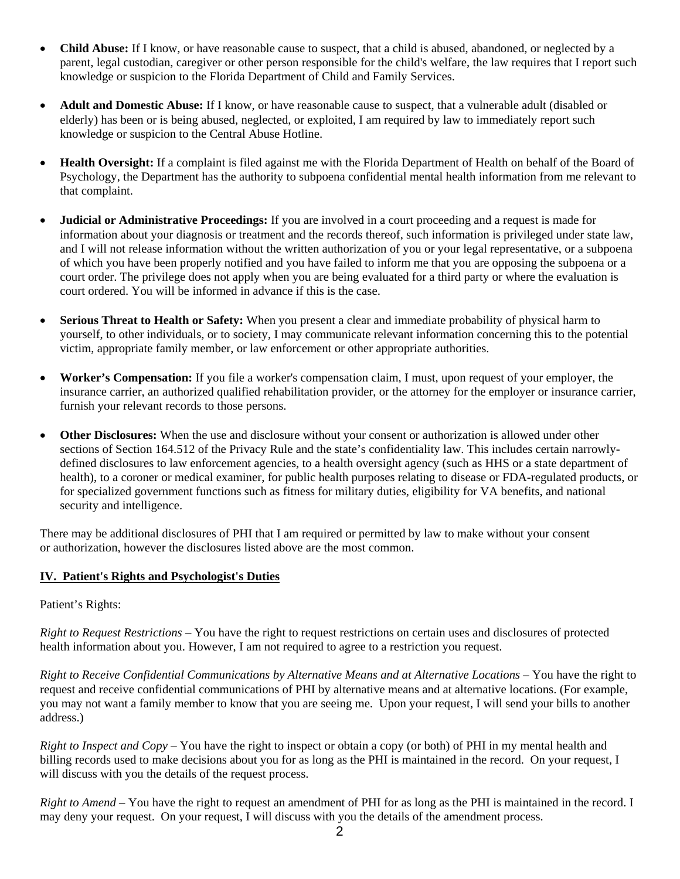- **Child Abuse:** If I know, or have reasonable cause to suspect, that a child is abused, abandoned, or neglected by a parent, legal custodian, caregiver or other person responsible for the child's welfare, the law requires that I report such knowledge or suspicion to the Florida Department of Child and Family Services.
- **Adult and Domestic Abuse:** If I know, or have reasonable cause to suspect, that a vulnerable adult (disabled or elderly) has been or is being abused, neglected, or exploited, I am required by law to immediately report such knowledge or suspicion to the Central Abuse Hotline.
- **Health Oversight:** If a complaint is filed against me with the Florida Department of Health on behalf of the Board of Psychology, the Department has the authority to subpoena confidential mental health information from me relevant to that complaint.
- **Judicial or Administrative Proceedings:** If you are involved in a court proceeding and a request is made for information about your diagnosis or treatment and the records thereof, such information is privileged under state law, and I will not release information without the written authorization of you or your legal representative, or a subpoena of which you have been properly notified and you have failed to inform me that you are opposing the subpoena or a court order. The privilege does not apply when you are being evaluated for a third party or where the evaluation is court ordered. You will be informed in advance if this is the case.
- **Serious Threat to Health or Safety:** When you present a clear and immediate probability of physical harm to yourself, to other individuals, or to society, I may communicate relevant information concerning this to the potential victim, appropriate family member, or law enforcement or other appropriate authorities.
- **Worker's Compensation:** If you file a worker's compensation claim, I must, upon request of your employer, the insurance carrier, an authorized qualified rehabilitation provider, or the attorney for the employer or insurance carrier, furnish your relevant records to those persons.
- **Other Disclosures:** When the use and disclosure without your consent or authorization is allowed under other sections of Section 164.512 of the Privacy Rule and the state's confidentiality law. This includes certain narrowlydefined disclosures to law enforcement agencies, to a health oversight agency (such as HHS or a state department of health), to a coroner or medical examiner, for public health purposes relating to disease or FDA-regulated products, or for specialized government functions such as fitness for military duties, eligibility for VA benefits, and national security and intelligence.

There may be additional disclosures of PHI that I am required or permitted by law to make without your consent or authorization, however the disclosures listed above are the most common.

## **IV. Patient's Rights and Psychologist's Duties**

Patient's Rights:

*Right to Request Restrictions –* You have the right to request restrictions on certain uses and disclosures of protected health information about you. However, I am not required to agree to a restriction you request.

*Right to Receive Confidential Communications by Alternative Means and at Alternative Locations – You have the right to* request and receive confidential communications of PHI by alternative means and at alternative locations. (For example, you may not want a family member to know that you are seeing me. Upon your request, I will send your bills to another address.)

*Right to Inspect and Copy* – You have the right to inspect or obtain a copy (or both) of PHI in my mental health and billing records used to make decisions about you for as long as the PHI is maintained in the record. On your request, I will discuss with you the details of the request process.

*Right to Amend* – You have the right to request an amendment of PHI for as long as the PHI is maintained in the record. I may deny your request. On your request, I will discuss with you the details of the amendment process.